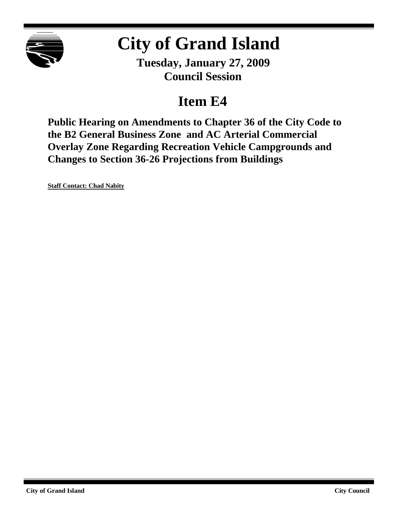

# **City of Grand Island**

**Tuesday, January 27, 2009 Council Session**

## **Item E4**

**Public Hearing on Amendments to Chapter 36 of the City Code to the B2 General Business Zone and AC Arterial Commercial Overlay Zone Regarding Recreation Vehicle Campgrounds and Changes to Section 36-26 Projections from Buildings**

**Staff Contact: Chad Nabity**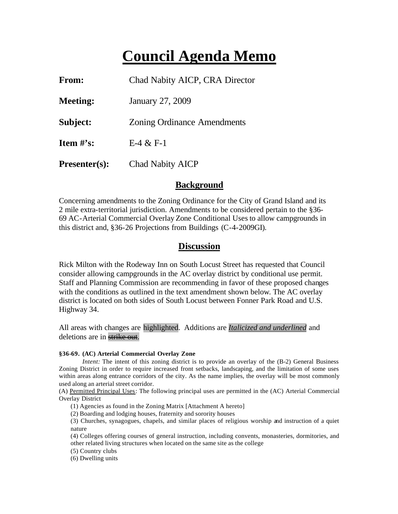## **Council Agenda Memo**

| From:                | Chad Nabity AICP, CRA Director     |  |  |  |
|----------------------|------------------------------------|--|--|--|
| <b>Meeting:</b>      | January 27, 2009                   |  |  |  |
| Subject:             | <b>Zoning Ordinance Amendments</b> |  |  |  |
| Item $\#$ 's:        | $E-4 & E-1$                        |  |  |  |
| <b>Presenter(s):</b> | <b>Chad Nabity AICP</b>            |  |  |  |

## **Background**

Concerning amendments to the Zoning Ordinance for the City of Grand Island and its 2 mile extra-territorial jurisdiction. Amendments to be considered pertain to the §36- 69 AC-Arterial Commercial Overlay Zone Conditional Uses to allow campgrounds in this district and, §36-26 Projections from Buildings (C-4-2009GI).

## **Discussion**

Rick Milton with the Rodeway Inn on South Locust Street has requested that Council consider allowing campgrounds in the AC overlay district by conditional use permit. Staff and Planning Commission are recommending in favor of these proposed changes with the conditions as outlined in the text amendment shown below. The AC overlay district is located on both sides of South Locust between Fonner Park Road and U.S. Highway 34.

All areas with changes are highlighted. Additions are *Italicized and underlined* and deletions are in strike out.

#### **§36-69. (AC) Arterial Commercial Overlay Zone**

*Intent:* The intent of this zoning district is to provide an overlay of the (B-2) General Business Zoning District in order to require increased front setbacks, landscaping, and the limitation of some uses within areas along entrance corridors of the city. As the name implies, the overlay will be most commonly used along an arterial street corridor.

(A) Permitted Principal Uses: The following principal uses are permitted in the (AC) Arterial Commercial Overlay District

(1) Agencies as found in the Zoning Matrix [Attachment A hereto]

(2) Boarding and lodging houses, fraternity and sorority houses

(3) Churches, synagogues, chapels, and similar places of religious worship and instruction of a quiet nature

(4) Colleges offering courses of general instruction, including convents, monasteries, dormitories, and other related living structures when located on the same site as the college

(5) Country clubs

(6) Dwelling units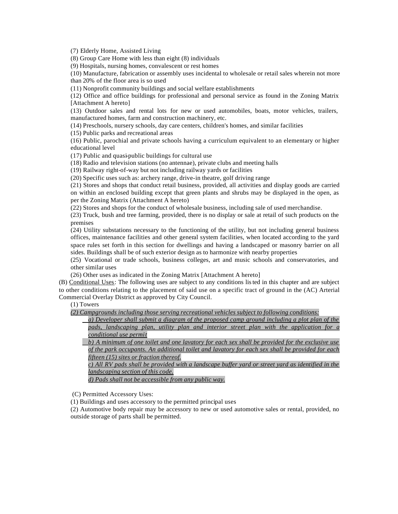(7) Elderly Home, Assisted Living

(8) Group Care Home with less than eight (8) individuals

(9) Hospitals, nursing homes, convalescent or rest homes

(10) Manufacture, fabrication or assembly uses incidental to wholesale or retail sales wherein not more than 20% of the floor area is so used

(11) Nonprofit community buildings and social welfare establishments

(12) Office and office buildings for professional and personal service as found in the Zoning Matrix [Attachment A hereto]

(13) Outdoor sales and rental lots for new or used automobiles, boats, motor vehicles, trailers, manufactured homes, farm and construction machinery, etc.

(14) Preschools, nursery schools, day care centers, children's homes, and similar facilities

(15) Public parks and recreational areas

(16) Public, parochial and private schools having a curriculum equivalent to an elementary or higher educational level

(17) Public and quasi-public buildings for cultural use

(18) Radio and television stations (no antennae), private clubs and meeting halls

(19) Railway right-of-way but not including railway yards or facilities

(20) Specific uses such as: archery range, drive-in theatre, golf driving range

(21) Stores and shops that conduct retail business, provided, all activities and display goods are carried on within an enclosed building except that green plants and shrubs may be displayed in the open, as per the Zoning Matrix (Attachment A hereto)

(22) Stores and shops for the conduct of wholesale business, including sale of used merchandise.

(23) Truck, bush and tree farming, provided, there is no display or sale at retail of such products on the premises

(24) Utility substations necessary to the functioning of the utility, but not including general business offices, maintenance facilities and other general system facilities, when located according to the yard space rules set forth in this section for dwellings and having a landscaped or masonry barrier on all sides. Buildings shall be of such exterior design as to harmonize with nearby properties

(25) Vocational or trade schools, business colleges, art and music schools and conservatories, and other similar uses

(26) Other uses as indicated in the Zoning Matrix [Attachment A hereto]

(B) Conditional Uses: The following uses are subject to any conditions listed in this chapter and are subject to other conditions relating to the placement of said use on a specific tract of ground in the (AC) Arterial Commercial Overlay District as approved by City Council.

#### (1) Towers

*(2) Campgrounds including those serving recreational vehicles subject to following conditions:*

*a) Developer shall submit a diagram of the proposed camp ground including a plot plan of the pads, landscaping plan, utility plan and interior street plan with the application for a conditional use permit*

*b) A minimum of one toilet and one lavatory for each sex shall be provided for the exclusive use of the park occupants. An additional toilet and lavatory for each sex shall be provided for each fifteen (15) sites or fraction thereof.*

*c) All RV pads shall be provided with a landscape buffer yard or street yard as identified in the landscaping section of this code.*

*d) Pads shall not be accessible from any public way.*

(C) Permitted Accessory Uses:

(1) Buildings and uses accessory to the permitted principal uses

(2) Automotive body repair may be accessory to new or used automotive sales or rental, provided, no outside storage of parts shall be permitted.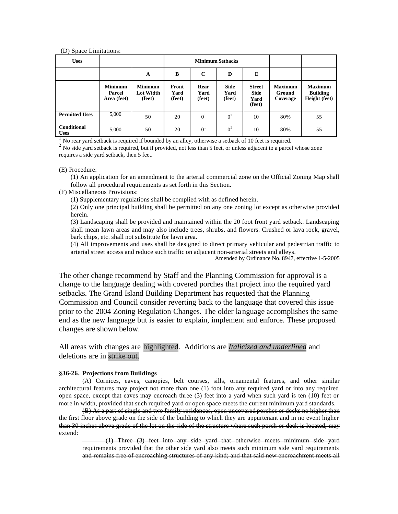#### (D) Space Limitations:

| <b>Uses</b>                       |                                         |                                       | <b>Minimum Setbacks</b> |                        |                               |                                                |                                             |                                                    |
|-----------------------------------|-----------------------------------------|---------------------------------------|-------------------------|------------------------|-------------------------------|------------------------------------------------|---------------------------------------------|----------------------------------------------------|
|                                   |                                         | A                                     | B                       | $\mathbf C$            | D                             | E                                              |                                             |                                                    |
|                                   | <b>Minimum</b><br>Parcel<br>Area (feet) | <b>Minimum</b><br>Lot Width<br>(feet) | Front<br>Yard<br>(feet) | Rear<br>Yard<br>(feet) | <b>Side</b><br>Yard<br>(feet) | <b>Street</b><br><b>Side</b><br>Yard<br>(feet) | <b>Maximum</b><br>Ground<br><b>Coverage</b> | <b>Maximum</b><br><b>Building</b><br>Height (feet) |
| <b>Permitted Uses</b>             | 5,000                                   | 50                                    | 20                      | 0 <sup>1</sup>         | 0 <sup>2</sup>                | 10                                             | 80%                                         | 55                                                 |
| <b>Conditional</b><br><b>Uses</b> | 5,000                                   | 50                                    | 20                      | 0 <sup>1</sup>         | 0 <sup>2</sup>                | 10                                             | 80%                                         | 55                                                 |

<sup>1</sup> No rear vard setback is required if bounded by an alley, otherwise a setback of 10 feet is required.

<sup>2</sup> No side yard setback is required, but if provided, not less than 5 feet, or unless adjacent to a parcel whose zone requires a side yard setback, then 5 feet.

#### (E) Procedure:

(1) An application for an amendment to the arterial commercial zone on the Official Zoning Map shall follow all procedural requirements as set forth in this Section.

(F) Miscellaneous Provisions:

(1) Supplementary regulations shall be complied with as defined herein.

(2) Only one principal building shall be permitted on any one zoning lot except as otherwise provided herein.

(3) Landscaping shall be provided and maintained within the 20 foot front yard setback. Landscaping shall mean lawn areas and may also include trees, shrubs, and flowers. Crushed or lava rock, gravel, bark chips, etc. shall not substitute for lawn area.

(4) All improvements and uses shall be designed to direct primary vehicular and pedestrian traffic to arterial street access and reduce such traffic on adjacent non-arterial streets and alleys.

Amended by Ordinance No. 8947, effective 1-5-2005

The other change recommend by Staff and the Planning Commission for approval is a change to the language dealing with covered porches that project into the required yard setbacks. The Grand Island Building Department has requested that the Planning Commission and Council consider reverting back to the language that covered this issue prior to the 2004 Zoning Regulation Changes. The older language accomplishes the same end as the new language but is easier to explain, implement and enforce. These proposed changes are shown below.

All areas with changes are highlighted. Additions are *Italicized and underlined* and deletions are in strike out.

#### **§36-26. Projections from Buildings**

(A) Cornices, eaves, canopies, belt courses, sills, ornamental features, and other similar architectural features may project not more than one (1) foot into any required yard or into any required open space, except that eaves may encroach three (3) feet into a yard when such yard is ten (10) feet or more in width, provided that such required yard or open space meets the current minimum yard standards.

(B) As a part of single and two family residences, open uncovered porches or decks no higher than the first floor above grade on the side of the building to which they are appurtenant and in no event higher than 30 inches above grade of the lot on the side of the structure where such porch or deck is located, may extend:

(1) Three (3) feet into any side yard that otherwise meets minimum side yard requirements provided that the other side yard also meets such minimum side yard requirements and remains free of encroaching structures of any kind; and that said new encroachment meets all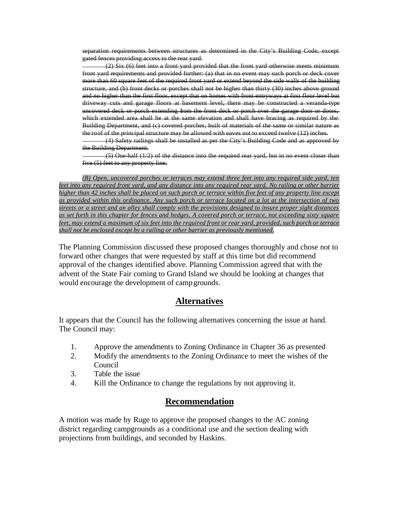separation requirements between structures as determined in the City's Building Code, except gated fences providing access to the rear yard.

(2) Six (6) feet into a front yard provided that the front yard otherwise meets minimum front yard requirements and provided further: (a) that in no event may such porch or deck cover more than 60 square feet of the required front yard or extend beyond the side walls of the building structure, and (b) front decks or porches shall not be higher than thirty (30) inches above ground and no higher than the first floor, except that on homes with front entryways at first floor level but driveway cuts and garage floors at basement level, there may be constructed a veranda-type uncovered deck or porch extending from the front deck or porch over the garage door or doors, which extended area shall be at the same elevation and shall have bracing as required by the Building Department, and (c) covered porches, built of materials of the same or similar nature as the roof of the principal structure may be allowed with eaves not to exceed twelve (12) inches.

(4) Safety railings shall be installed as per the City's Building Code and as approved by the Building Department.

(5) One-half (1/2) of the distance into the required rear yard, but in no event closer than five (5) feet to any property line.

*(B) Open, uncovered porches or terraces may extend three feet into any required side yard, ten feet into any required front yard, and any distance into any required rear yard. No railing or other barrier higher than 42 inches shall be placed on such porch or terrace within five feet of any property line except as provided within this ordinance. Any such porch or terrace located on a lot at the intersection of two streets or a street and an alley shall comply with the provisions designed to insure proper sight distances as set forth in this chapter for fences and hedges. A covered porch or terrace, not exceeding sixty square feet, may extend a maximum of six feet into the required front or rear yard, provided, such porch or terrace shall not be enclosed except by a railing or other barrier as previously mentioned.*

The Planning Commission discussed these proposed changes thoroughly and chose not to forward other changes that were requested by staff at this time but did recommend approval of the changes identified above. Planning Commission agreed that with the advent of the State Fair coming to Grand Island we should be looking at changes that would encourage the development of campgrounds.

### **Alternatives**

It appears that the Council has the following alternatives concerning the issue at hand. The Council may:

- 1. Approve the amendments to Zoning Ordinance in Chapter 36 as presented
- 2. Modify the amendments to the Zoning Ordinance to meet the wishes of the Council
- 3. Table the issue
- 4. Kill the Ordinance to change the regulations by not approving it.

## **Recommendation**

A motion was made by Ruge to approve the proposed changes to the AC zoning district regarding campgrounds as a conditional use and the section dealing with projections from buildings, and seconded by Haskins.